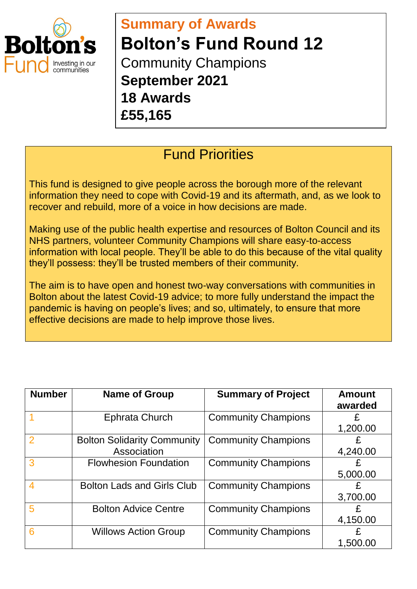

## **Summary of Awards Bolton's Fund Round 12**  Community Champions **September 2021 18 Awards**

**£55,165**

## Fund Priorities

This fund is designed to give people across the borough more of the relevant information they need to cope with Covid-19 and its aftermath, and, as we look to recover and rebuild, more of a voice in how decisions are made.

Making use of the public health expertise and resources of Bolton Council and its NHS partners, volunteer Community Champions will share easy-to-access information with local people. They'll be able to do this because of the vital quality they'll possess: they'll be trusted members of their community.

The aim is to have open and honest two-way conversations with communities in Bolton about the latest Covid-19 advice; to more fully understand the impact the pandemic is having on people's lives; and so, ultimately, to ensure that more effective decisions are made to help improve those lives.

| <b>Number</b> | <b>Name of Group</b>               | <b>Summary of Project</b>  | <b>Amount</b><br>awarded |
|---------------|------------------------------------|----------------------------|--------------------------|
|               | <b>Ephrata Church</b>              | <b>Community Champions</b> |                          |
|               |                                    |                            | 1,200.00                 |
| 2             | <b>Bolton Solidarity Community</b> | <b>Community Champions</b> | £                        |
|               | Association                        |                            | 4,240.00                 |
| 3             | <b>Flowhesion Foundation</b>       | <b>Community Champions</b> | £                        |
|               |                                    |                            | 5,000.00                 |
| 4             | <b>Bolton Lads and Girls Club</b>  | <b>Community Champions</b> | £                        |
|               |                                    |                            | 3,700.00                 |
| 5             | <b>Bolton Advice Centre</b>        | <b>Community Champions</b> | £                        |
|               |                                    |                            | 4,150.00                 |
| 6             | <b>Willows Action Group</b>        | <b>Community Champions</b> | £                        |
|               |                                    |                            | 1,500.00                 |